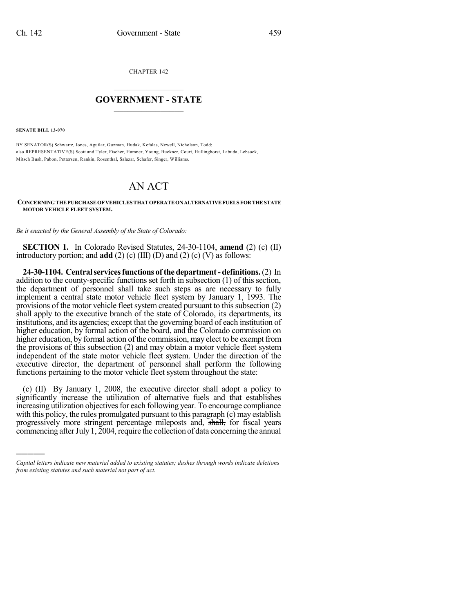CHAPTER 142

## $\mathcal{L}_\text{max}$  . The set of the set of the set of the set of the set of the set of the set of the set of the set of the set of the set of the set of the set of the set of the set of the set of the set of the set of the set **GOVERNMENT - STATE**  $\_$   $\_$   $\_$   $\_$   $\_$   $\_$   $\_$   $\_$

**SENATE BILL 13-070**

)))))

BY SENATOR(S) Schwartz, Jones, Aguilar, Guzman, Hudak, Kefalas, Newell, Nicholson, Todd; also REPRESENTATIVE(S) Scott and Tyler, Fischer, Hamner, Young, Buckner, Court, Hullinghorst, Labuda, Lebsock, Mitsch Bush, Pabon, Pettersen, Rankin, Rosenthal, Salazar, Schafer, Singer, Williams.

## AN ACT

**CONCERNINGTHE PURCHASEOF VEHICLES THAT OPERATEONALTERNATIVEFUELS FORTHE STATE MOTOR VEHICLE FLEET SYSTEM.**

*Be it enacted by the General Assembly of the State of Colorado:*

**SECTION 1.** In Colorado Revised Statutes, 24-30-1104, **amend** (2) (c) (II) introductory portion; and **add** (2) (c) (III) (D) and (2) (c) (V) as follows:

**24-30-1104. Centralservicesfunctions of the department- definitions.**(2) In addition to the county-specific functions set forth in subsection (1) of this section, the department of personnel shall take such steps as are necessary to fully implement a central state motor vehicle fleet system by January 1, 1993. The provisions of the motor vehicle fleet system created pursuant to this subsection (2) shall apply to the executive branch of the state of Colorado, its departments, its institutions, and its agencies; except that the governing board of each institution of higher education, by formal action of the board, and the Colorado commission on higher education, by formal action of the commission, may elect to be exempt from the provisions of this subsection (2) and may obtain a motor vehicle fleet system independent of the state motor vehicle fleet system. Under the direction of the executive director, the department of personnel shall perform the following functions pertaining to the motor vehicle fleet system throughout the state:

(c) (II) By January 1, 2008, the executive director shall adopt a policy to significantly increase the utilization of alternative fuels and that establishes increasing utilization objectives for each following year. To encourage compliance with this policy, the rules promulgated pursuant to this paragraph (c) may establish progressively more stringent percentage mileposts and, shall, for fiscal years commencing after July 1, 2004, require the collection of data concerning the annual

*Capital letters indicate new material added to existing statutes; dashes through words indicate deletions from existing statutes and such material not part of act.*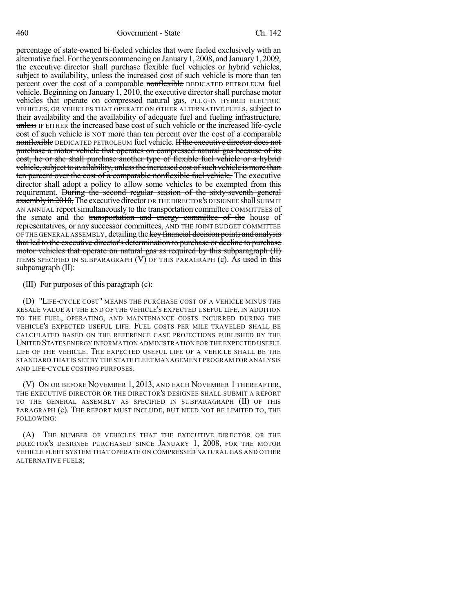percentage of state-owned bi-fueled vehicles that were fueled exclusively with an alternative fuel.Forthe years commencing on January1, 2008, and January1, 2009, the executive director shall purchase flexible fuel vehicles or hybrid vehicles, subject to availability, unless the increased cost of such vehicle is more than ten percent over the cost of a comparable nonflexible DEDICATED PETROLEUM fuel vehicle. Beginning on January 1, 2010, the executive directorshall purchase motor vehicles that operate on compressed natural gas, PLUG-IN HYBRID ELECTRIC VEHICLES, OR VEHICLES THAT OPERATE ON OTHER ALTERNATIVE FUELS, subject to their availability and the availability of adequate fuel and fueling infrastructure, unless IF EITHER the increased base cost of such vehicle or the increased life-cycle cost of such vehicle is NOT more than ten percent over the cost of a comparable nonflexible DEDICATED PETROLEUM fuel vehicle. If the executive director does not purchase a motor vehicle that operates on compressed natural gas because of its cost, he or she shall purchase another type of flexible fuel vehicle or a hybrid vehicle, subject to availability, unless the increased cost of such vehicle is more than ten percent over the cost of a comparable nonflexible fuel vehicle. The executive director shall adopt a policy to allow some vehicles to be exempted from this requirement. During the second regular session of the sixty-seventh general assembly in 2010, The executive director OR THE DIRECTOR'S DESIGNEE shall SUBMIT AN ANNUAL report simultaneously to the transportation committee COMMITTEES of the senate and the transportation and energy committee of the house of representatives, or any successor committees, AND THE JOINT BUDGET COMMITTEE OF THE GENERAL ASSEMBLY, detailing the key financial decision points and analysis that led to the executive director's determination to purchase or decline to purchase motor vehicles that operate on natural gas as required by this subparagraph (II) ITEMS SPECIFIED IN SUBPARAGRAPH (V) OF THIS PARAGRAPH (c). As used in this subparagraph  $(II)$ :

(III) For purposes of this paragraph (c):

(D) "LIFE-CYCLE COST" MEANS THE PURCHASE COST OF A VEHICLE MINUS THE RESALE VALUE AT THE END OF THE VEHICLE'S EXPECTED USEFUL LIFE, IN ADDITION TO THE FUEL, OPERATING, AND MAINTENANCE COSTS INCURRED DURING THE VEHICLE'S EXPECTED USEFUL LIFE. FUEL COSTS PER MILE TRAVELED SHALL BE CALCULATED BASED ON THE REFERENCE CASE PROJECTIONS PUBLISHED BY THE UNITED STATES ENERGY INFORMATION ADMINISTRATION FOR THE EXPECTED USEFUL LIFE OF THE VEHICLE. THE EXPECTED USEFUL LIFE OF A VEHICLE SHALL BE THE STANDARD THAT IS SET BY THE STATE FLEET MANAGEMENT PROGRAM FOR ANALYSIS AND LIFE-CYCLE COSTING PURPOSES.

(V) ON OR BEFORE NOVEMBER 1, 2013, AND EACH NOVEMBER 1 THEREAFTER, THE EXECUTIVE DIRECTOR OR THE DIRECTOR'S DESIGNEE SHALL SUBMIT A REPORT TO THE GENERAL ASSEMBLY AS SPECIFIED IN SUBPARAGRAPH (II) OF THIS PARAGRAPH (c). THE REPORT MUST INCLUDE, BUT NEED NOT BE LIMITED TO, THE FOLLOWING:

(A) THE NUMBER OF VEHICLES THAT THE EXECUTIVE DIRECTOR OR THE DIRECTOR'S DESIGNEE PURCHASED SINCE JANUARY 1, 2008, FOR THE MOTOR VEHICLE FLEET SYSTEM THAT OPERATE ON COMPRESSED NATURAL GAS AND OTHER ALTERNATIVE FUELS;